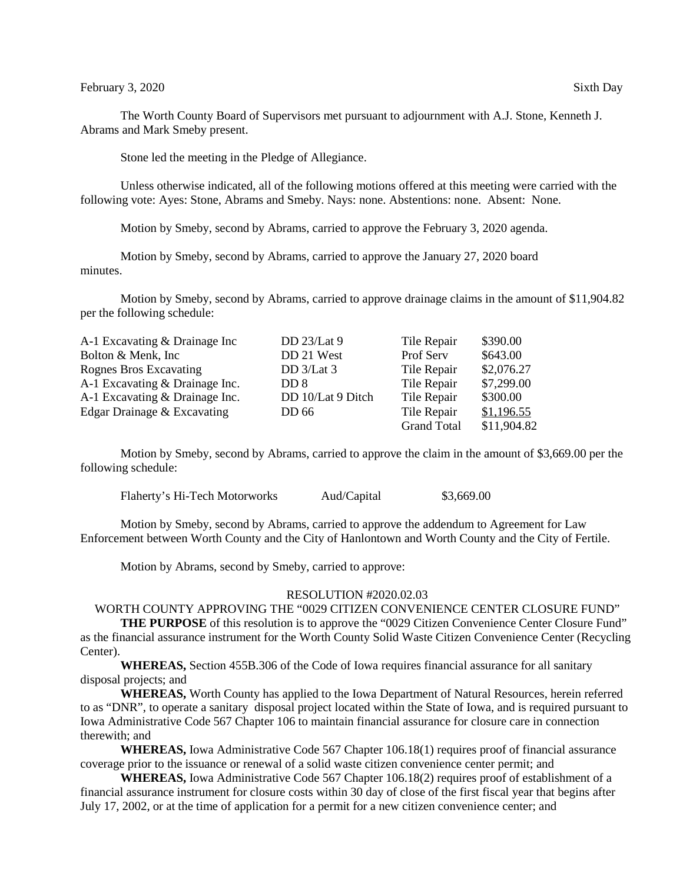The Worth County Board of Supervisors met pursuant to adjournment with A.J. Stone, Kenneth J. Abrams and Mark Smeby present.

Stone led the meeting in the Pledge of Allegiance.

Unless otherwise indicated, all of the following motions offered at this meeting were carried with the following vote: Ayes: Stone, Abrams and Smeby. Nays: none. Abstentions: none. Absent: None.

Motion by Smeby, second by Abrams, carried to approve the February 3, 2020 agenda.

Motion by Smeby, second by Abrams, carried to approve the January 27, 2020 board minutes.

Motion by Smeby, second by Abrams, carried to approve drainage claims in the amount of \$11,904.82 per the following schedule:

| A-1 Excavating & Drainage Inc  | DD 23/Lat 9       | Tile Repair        | \$390.00    |
|--------------------------------|-------------------|--------------------|-------------|
| Bolton & Menk, Inc.            | DD 21 West        | Prof Serv          | \$643.00    |
| Rognes Bros Excavating         | DD 3/Lat 3        | Tile Repair        | \$2,076.27  |
| A-1 Excavating & Drainage Inc. | DD 8              | Tile Repair        | \$7,299.00  |
| A-1 Excavating & Drainage Inc. | DD 10/Lat 9 Ditch | Tile Repair        | \$300.00    |
| Edgar Drainage & Excavating    | DD 66             | Tile Repair        | \$1,196.55  |
|                                |                   | <b>Grand Total</b> | \$11,904.82 |

Motion by Smeby, second by Abrams, carried to approve the claim in the amount of \$3,669.00 per the following schedule:

Flaherty's Hi-Tech Motorworks Aud/Capital \$3,669.00

Motion by Smeby, second by Abrams, carried to approve the addendum to Agreement for Law Enforcement between Worth County and the City of Hanlontown and Worth County and the City of Fertile.

Motion by Abrams, second by Smeby, carried to approve:

## RESOLUTION #2020.02.03

WORTH COUNTY APPROVING THE "0029 CITIZEN CONVENIENCE CENTER CLOSURE FUND"

**THE PURPOSE** of this resolution is to approve the "0029 Citizen Convenience Center Closure Fund" as the financial assurance instrument for the Worth County Solid Waste Citizen Convenience Center (Recycling Center).

**WHEREAS,** Section 455B.306 of the Code of Iowa requires financial assurance for all sanitary disposal projects; and

**WHEREAS,** Worth County has applied to the Iowa Department of Natural Resources, herein referred to as "DNR", to operate a sanitary disposal project located within the State of Iowa, and is required pursuant to Iowa Administrative Code 567 Chapter 106 to maintain financial assurance for closure care in connection therewith; and

**WHEREAS,** Iowa Administrative Code 567 Chapter 106.18(1) requires proof of financial assurance coverage prior to the issuance or renewal of a solid waste citizen convenience center permit; and

**WHEREAS,** Iowa Administrative Code 567 Chapter 106.18(2) requires proof of establishment of a financial assurance instrument for closure costs within 30 day of close of the first fiscal year that begins after July 17, 2002, or at the time of application for a permit for a new citizen convenience center; and